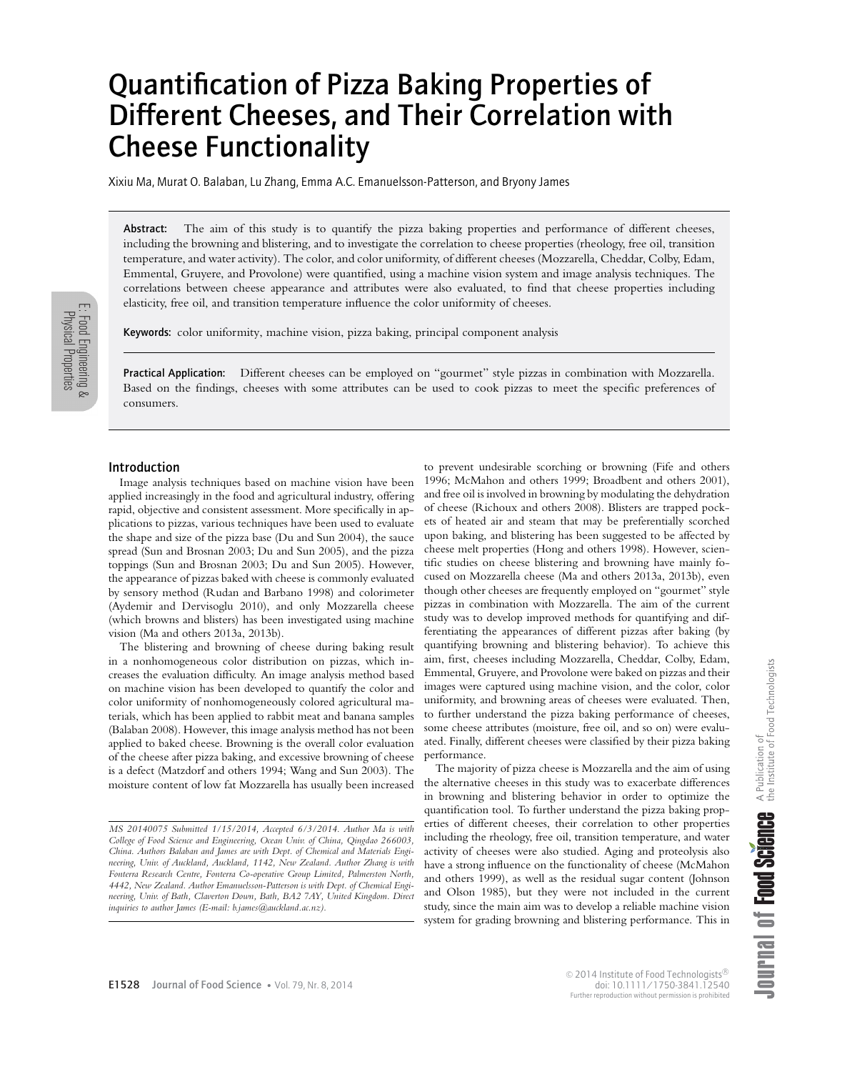# Quantification of Pizza Baking Properties of Different Cheeses, and Their Correlation with Cheese Functionality

Xixiu Ma, Murat O. Balaban, Lu Zhang, Emma A.C. Emanuelsson-Patterson, and Bryony James

Abstract: The aim of this study is to quantify the pizza baking properties and performance of different cheeses, including the browning and blistering, and to investigate the correlation to cheese properties (rheology, free oil, transition temperature, and water activity). The color, and color uniformity, of different cheeses (Mozzarella, Cheddar, Colby, Edam, Emmental, Gruyere, and Provolone) were quantified, using a machine vision system and image analysis techniques. The correlations between cheese appearance and attributes were also evaluated, to find that cheese properties including elasticity, free oil, and transition temperature influence the color uniformity of cheeses.

Keywords: color uniformity, machine vision, pizza baking, principal component analysis

Practical Application: Different cheeses can be employed on "gourmet" style pizzas in combination with Mozzarella. Based on the findings, cheeses with some attributes can be used to cook pizzas to meet the specific preferences of consumers.

### Introduction

Image analysis techniques based on machine vision have been applied increasingly in the food and agricultural industry, offering rapid, objective and consistent assessment. More specifically in applications to pizzas, various techniques have been used to evaluate the shape and size of the pizza base (Du and Sun 2004), the sauce spread (Sun and Brosnan 2003; Du and Sun 2005), and the pizza toppings (Sun and Brosnan 2003; Du and Sun 2005). However, the appearance of pizzas baked with cheese is commonly evaluated by sensory method (Rudan and Barbano 1998) and colorimeter (Aydemir and Dervisoglu 2010), and only Mozzarella cheese (which browns and blisters) has been investigated using machine vision (Ma and others 2013a, 2013b).

The blistering and browning of cheese during baking result in a nonhomogeneous color distribution on pizzas, which increases the evaluation difficulty. An image analysis method based on machine vision has been developed to quantify the color and color uniformity of nonhomogeneously colored agricultural materials, which has been applied to rabbit meat and banana samples (Balaban 2008). However, this image analysis method has not been applied to baked cheese. Browning is the overall color evaluation of the cheese after pizza baking, and excessive browning of cheese is a defect (Matzdorf and others 1994; Wang and Sun 2003). The moisture content of low fat Mozzarella has usually been increased

to prevent undesirable scorching or browning (Fife and others 1996; McMahon and others 1999; Broadbent and others 2001), and free oil is involved in browning by modulating the dehydration of cheese (Richoux and others 2008). Blisters are trapped pockets of heated air and steam that may be preferentially scorched upon baking, and blistering has been suggested to be affected by cheese melt properties (Hong and others 1998). However, scientific studies on cheese blistering and browning have mainly focused on Mozzarella cheese (Ma and others 2013a, 2013b), even though other cheeses are frequently employed on "gourmet" style pizzas in combination with Mozzarella. The aim of the current study was to develop improved methods for quantifying and differentiating the appearances of different pizzas after baking (by quantifying browning and blistering behavior). To achieve this aim, first, cheeses including Mozzarella, Cheddar, Colby, Edam, Emmental, Gruyere, and Provolone were baked on pizzas and their images were captured using machine vision, and the color, color uniformity, and browning areas of cheeses were evaluated. Then, to further understand the pizza baking performance of cheeses, some cheese attributes (moisture, free oil, and so on) were evaluated. Finally, different cheeses were classified by their pizza baking performance.

The majority of pizza cheese is Mozzarella and the aim of using the alternative cheeses in this study was to exacerbate differences in browning and blistering behavior in order to optimize the quantification tool. To further understand the pizza baking properties of different cheeses, their correlation to other properties including the rheology, free oil, transition temperature, and water activity of cheeses were also studied. Aging and proteolysis also have a strong influence on the functionality of cheese (McMahon and others 1999), as well as the residual sugar content (Johnson and Olson 1985), but they were not included in the current study, since the main aim was to develop a reliable machine vision system for grading browning and blistering performance. This in

*MS 20140075 Submitted 1/15/2014, Accepted 6/3/2014. Author Ma is with College of Food Science and Engineering, Ocean Univ. of China, Qingdao 266003, China. Authors Balaban and James are with Dept. of Chemical and Materials Engineering, Univ. of Auckland, Auckland, 1142, New Zealand. Author Zhang is with Fonterra Research Centre, Fonterra Co-operative Group Limited, Palmerston North, 4442, New Zealand. Author Emanuelsson-Patterson is with Dept. of Chemical Engineering, Univ. of Bath, Claverton Down, Bath, BA2 7AY, United Kingdom. Direct inquiries to author James (E-mail: b.james@auckland.ac.nz).*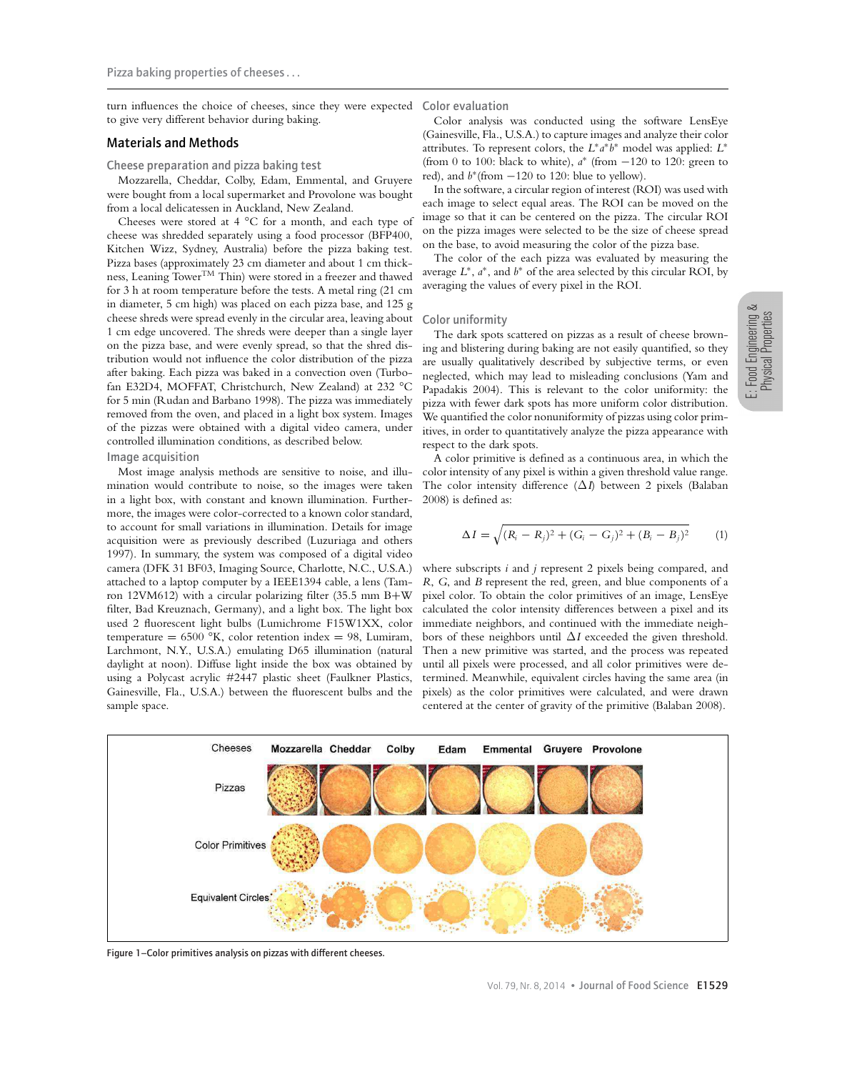turn influences the choice of cheeses, since they were expected Color evaluation to give very different behavior during baking.

## Materials and Methods

## Cheese preparation and pizza baking test

Mozzarella, Cheddar, Colby, Edam, Emmental, and Gruyere were bought from a local supermarket and Provolone was bought from a local delicatessen in Auckland, New Zealand.

Cheeses were stored at 4 °C for a month, and each type of cheese was shredded separately using a food processor (BFP400, Kitchen Wizz, Sydney, Australia) before the pizza baking test. Pizza bases (approximately 23 cm diameter and about 1 cm thickness, Leaning Tower<sup>TM</sup> Thin) were stored in a freezer and thawed for 3 h at room temperature before the tests. A metal ring (21 cm in diameter, 5 cm high) was placed on each pizza base, and 125 g cheese shreds were spread evenly in the circular area, leaving about 1 cm edge uncovered. The shreds were deeper than a single layer on the pizza base, and were evenly spread, so that the shred distribution would not influence the color distribution of the pizza after baking. Each pizza was baked in a convection oven (Turbofan E32D4, MOFFAT, Christchurch, New Zealand) at 232 °C for 5 min (Rudan and Barbano 1998). The pizza was immediately removed from the oven, and placed in a light box system. Images of the pizzas were obtained with a digital video camera, under controlled illumination conditions, as described below. Image acquisition

Most image analysis methods are sensitive to noise, and illumination would contribute to noise, so the images were taken in a light box, with constant and known illumination. Furthermore, the images were color-corrected to a known color standard, to account for small variations in illumination. Details for image acquisition were as previously described (Luzuriaga and others 1997). In summary, the system was composed of a digital video camera (DFK 31 BF03, Imaging Source, Charlotte, N.C., U.S.A.) attached to a laptop computer by a IEEE1394 cable, a lens (Tamron 12VM612) with a circular polarizing filter (35.5 mm B+W

filter, Bad Kreuznach, Germany), and a light box. The light box used 2 fluorescent light bulbs (Lumichrome F15W1XX, color temperature =  $6500 \text{ °K}$ , color retention index = 98, Lumiram, Larchmont, N.Y., U.S.A.) emulating D65 illumination (natural daylight at noon). Diffuse light inside the box was obtained by using a Polycast acrylic #2447 plastic sheet (Faulkner Plastics, Gainesville, Fla., U.S.A.) between the fluorescent bulbs and the sample space.

Color analysis was conducted using the software LensEye (Gainesville, Fla., U.S.A.) to capture images and analyze their color attributes. To represent colors, the  $L^* a^* b^*$  model was applied:  $L^*$ (from 0 to 100: black to white), *a* ∗ (from −120 to 120: green to red), and  $b^*$ (from  $-120$  to 120: blue to yellow).

In the software, a circular region of interest (ROI) was used with each image to select equal areas. The ROI can be moved on the image so that it can be centered on the pizza. The circular ROI on the pizza images were selected to be the size of cheese spread on the base, to avoid measuring the color of the pizza base.

The color of the each pizza was evaluated by measuring the average  $L^*$ ,  $a^*$ , and  $b^*$  of the area selected by this circular ROI, by averaging the values of every pixel in the ROI.

## Color uniformity

The dark spots scattered on pizzas as a result of cheese browning and blistering during baking are not easily quantified, so they are usually qualitatively described by subjective terms, or even neglected, which may lead to misleading conclusions (Yam and Papadakis 2004). This is relevant to the color uniformity: the pizza with fewer dark spots has more uniform color distribution. We quantified the color nonuniformity of pizzas using color primitives, in order to quantitatively analyze the pizza appearance with respect to the dark spots.

A color primitive is defined as a continuous area, in which the color intensity of any pixel is within a given threshold value range. The color intensity difference  $(\Delta I)$  between 2 pixels (Balaban 2008) is defined as:

$$
\Delta I = \sqrt{(R_i - R_j)^2 + (G_i - G_j)^2 + (B_i - B_j)^2}
$$
 (1)

where subscripts *i* and *j* represent 2 pixels being compared, and *R*, *G*, and *B* represent the red, green, and blue components of a pixel color. To obtain the color primitives of an image, LensEye calculated the color intensity differences between a pixel and its immediate neighbors, and continued with the immediate neighbors of these neighbors until  $\Delta I$  exceeded the given threshold. Then a new primitive was started, and the process was repeated until all pixels were processed, and all color primitives were determined. Meanwhile, equivalent circles having the same area (in pixels) as the color primitives were calculated, and were drawn centered at the center of gravity of the primitive (Balaban 2008).



Figure 1–Color primitives analysis on pizzas with different cheeses.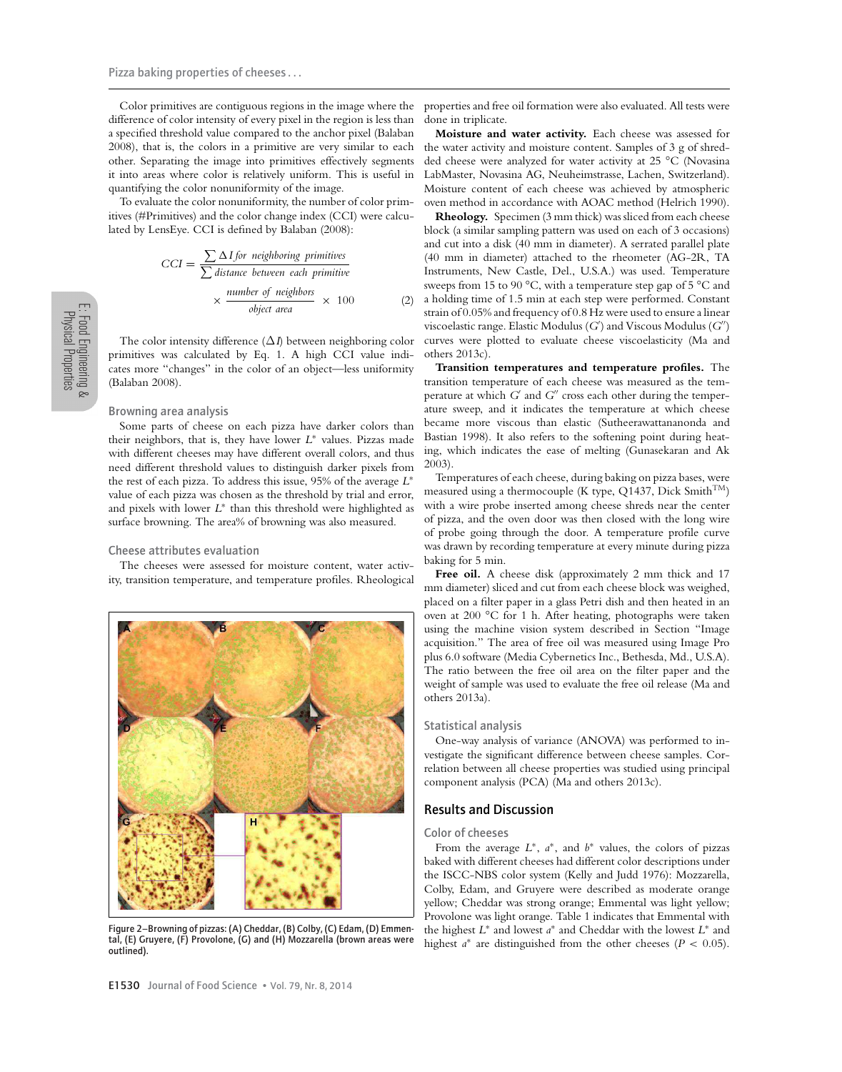Color primitives are contiguous regions in the image where the difference of color intensity of every pixel in the region is less than a specified threshold value compared to the anchor pixel (Balaban 2008), that is, the colors in a primitive are very similar to each other. Separating the image into primitives effectively segments it into areas where color is relatively uniform. This is useful in quantifying the color nonuniformity of the image.

To evaluate the color nonuniformity, the number of color primitives (#Primitives) and the color change index (CCI) were calculated by LensEye. CCI is defined by Balaban (2008):

$$
CCI = \frac{\sum \Delta I \text{ for neighboring primitives}}{\sum \text{distance between each primitive}} \times \frac{\text{number of neighbors}}{\text{object area}} \times 100 \tag{2}
$$

The color intensity difference  $(\Delta I)$  between neighboring color primitives was calculated by Eq. 1. A high CCI value indicates more "changes" in the color of an object—less uniformity (Balaban 2008).

### Browning area analysis

Some parts of cheese on each pizza have darker colors than their neighbors, that is, they have lower *L* ∗ values. Pizzas made with different cheeses may have different overall colors, and thus need different threshold values to distinguish darker pixels from the rest of each pizza. To address this issue, 95% of the average *L* ∗ value of each pizza was chosen as the threshold by trial and error, and pixels with lower *L* ∗ than this threshold were highlighted as surface browning. The area% of browning was also measured.

#### Cheese attributes evaluation

The cheeses were assessed for moisture content, water activity, transition temperature, and temperature profiles. Rheological



Figure 2–Browning of pizzas: (A) Cheddar, (B) Colby, (C) Edam, (D) Emmental, (E) Gruyere, (F) Provolone, (G) and (H) Mozzarella (brown areas were outlined).

properties and free oil formation were also evaluated. All tests were done in triplicate.

**Moisture and water activity.** Each cheese was assessed for the water activity and moisture content. Samples of 3 g of shredded cheese were analyzed for water activity at 25 °C (Novasina LabMaster, Novasina AG, Neuheimstrasse, Lachen, Switzerland). Moisture content of each cheese was achieved by atmospheric oven method in accordance with AOAC method (Helrich 1990).

**Rheology.** Specimen (3 mm thick) was sliced from each cheese block (a similar sampling pattern was used on each of 3 occasions) and cut into a disk (40 mm in diameter). A serrated parallel plate (40 mm in diameter) attached to the rheometer (AG-2R, TA Instruments, New Castle, Del., U.S.A.) was used. Temperature sweeps from 15 to 90 °C, with a temperature step gap of 5 °C and a holding time of 1.5 min at each step were performed. Constant strain of 0.05% and frequency of 0.8 Hz were used to ensure a linear viscoelastic range. Elastic Modulus (*G*′ ) and Viscous Modulus (*G*′′) curves were plotted to evaluate cheese viscoelasticity (Ma and others 2013c).

**Transition temperatures and temperature profiles.** The transition temperature of each cheese was measured as the temperature at which *G*′ and *G*′′ cross each other during the temperature sweep, and it indicates the temperature at which cheese became more viscous than elastic (Sutheerawattananonda and Bastian 1998). It also refers to the softening point during heating, which indicates the ease of melting (Gunasekaran and Ak 2003).

Temperatures of each cheese, during baking on pizza bases, were measured using a thermocouple (K type, Q1437, Dick Smith<sup>TM</sup>) with a wire probe inserted among cheese shreds near the center of pizza, and the oven door was then closed with the long wire of probe going through the door. A temperature profile curve was drawn by recording temperature at every minute during pizza baking for 5 min.

Free oil. A cheese disk (approximately 2 mm thick and 17 mm diameter) sliced and cut from each cheese block was weighed, placed on a filter paper in a glass Petri dish and then heated in an oven at 200 °C for 1 h. After heating, photographs were taken using the machine vision system described in Section "Image acquisition." The area of free oil was measured using Image Pro plus 6.0 software (Media Cybernetics Inc., Bethesda, Md., U.S.A). The ratio between the free oil area on the filter paper and the weight of sample was used to evaluate the free oil release (Ma and others 2013a).

#### Statistical analysis

One-way analysis of variance (ANOVA) was performed to investigate the significant difference between cheese samples. Correlation between all cheese properties was studied using principal component analysis (PCA) (Ma and others 2013c).

## Results and Discussion

#### Color of cheeses

From the average  $L^*$ ,  $a^*$ , and  $b^*$  values, the colors of pizzas baked with different cheeses had different color descriptions under the ISCC-NBS color system (Kelly and Judd 1976): Mozzarella, Colby, Edam, and Gruyere were described as moderate orange yellow; Cheddar was strong orange; Emmental was light yellow; Provolone was light orange. Table 1 indicates that Emmental with the highest *L*<sup>\*</sup> and lowest *a*<sup>\*</sup> and Cheddar with the lowest *L*<sup>\*</sup> and highest  $a^*$  are distinguished from the other cheeses ( $P < 0.05$ ).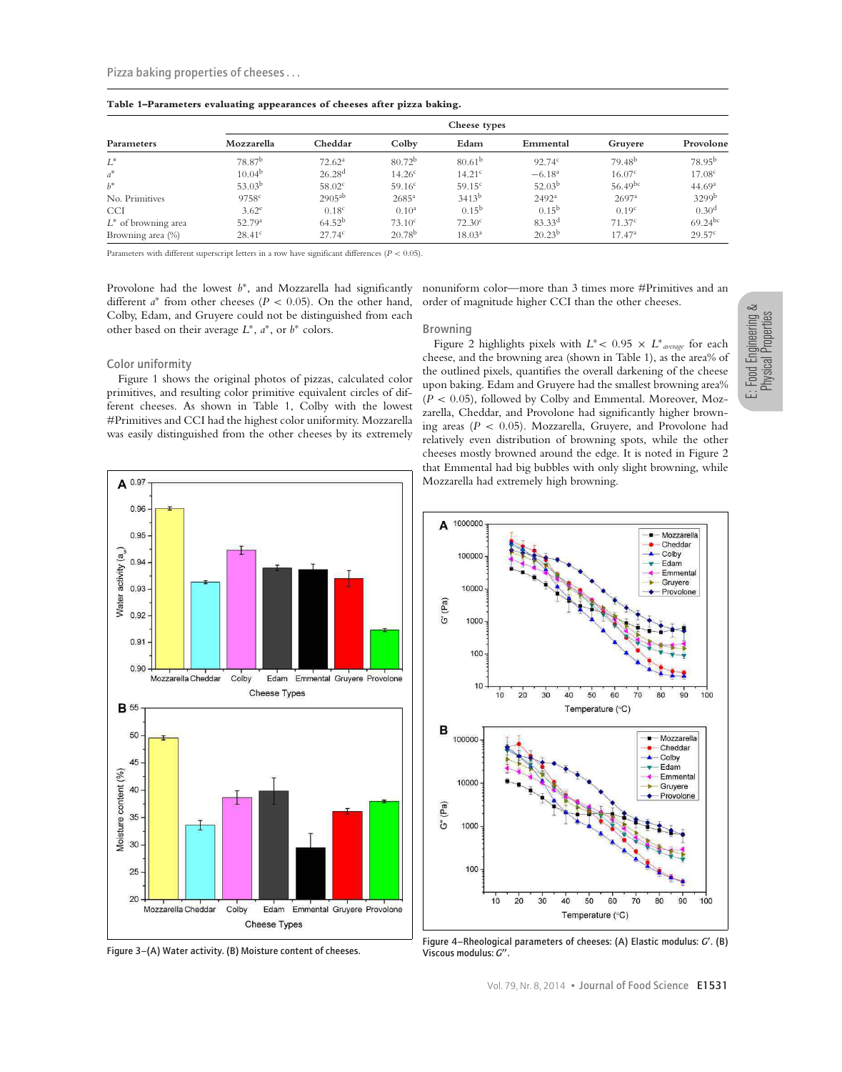#### **Table 1–Parameters evaluating appearances of cheeses after pizza baking.**

| Parameters             | Cheese types       |                    |                      |                    |                      |                    |                    |
|------------------------|--------------------|--------------------|----------------------|--------------------|----------------------|--------------------|--------------------|
|                        | Mozzarella         | Cheddar            | Colby                | Edam               | Emmental             | Gruvere            | Provolone          |
| $L^*$                  | 78.87 <sup>b</sup> | 72.62 <sup>a</sup> | 80.72 <sup>b</sup>   | 80.61 <sup>b</sup> | 92.74c               | 79.48 <sup>b</sup> | $78.95^{b}$        |
| $a^*$                  | 10.04 <sup>b</sup> | $26.28^{d}$        | $14.26^{c}$          | 14.21 <sup>c</sup> | $-6.18$ <sup>a</sup> | 16.07 <sup>c</sup> | $17.08^{c}$        |
| $h^*$                  | $53.03^{b}$        | $58.02^c$          | 59.16 <sup>c</sup>   | $59.15^{\circ}$    | $52.03^{b}$          | $56.49^{bc}$       | 44.69 <sup>a</sup> |
| No. Primitives         | 9758c              | $2905^{ab}$        | $2685^{\rm a}$       | 3413 <sup>b</sup>  | $2492^a$             | 2697a              | 3299b              |
| <b>CCI</b>             | $3.62^e$           | $0.18^{c}$         | (0.10 <sup>a</sup> ) | $0.15^{b}$         | $0.15^{b}$           | 0.19 <sup>c</sup>  | 0.30 <sup>d</sup>  |
| $L^*$ of browning area | 52.79 <sup>a</sup> | $64.52^{b}$        | $73.10^c$            | 72.30 <sup>c</sup> | $83.33^{d}$          | 71.37 <sup>c</sup> | $69.24^{bc}$       |
| Browning area (%)      | 28.41c             | 27.74c             | $20.78^{b}$          | 18.03 <sup>a</sup> | $20.23^{b}$          | $17.47^{\rm a}$    | 29.57c             |

Parameters with different superscript letters in a row have significant differences (*P* < 0.05).

Provolone had the lowest  $b^*$ , and Mozzarella had significantly different  $a^*$  from other cheeses ( $P < 0.05$ ). On the other hand, Colby, Edam, and Gruyere could not be distinguished from each other based on their average  $L^*$ ,  $a^*$ , or  $b^*$  colors.

nonuniform color—more than 3 times more #Primitives and an order of magnitude higher CCI than the other cheeses.

#### Browning

#### Color uniformity

Figure 1 shows the original photos of pizzas, calculated color primitives, and resulting color primitive equivalent circles of different cheeses. As shown in Table 1, Colby with the lowest #Primitives and CCI had the highest color uniformity. Mozzarella was easily distinguished from the other cheeses by its extremely



Figure 3–(A) Water activity. (B) Moisture content of cheeses.

Figure 2 highlights pixels with  $L^*$  < 0.95 ×  $L^*$ <sub>average</sub> for each cheese, and the browning area (shown in Table 1), as the area% of the outlined pixels, quantifies the overall darkening of the cheese upon baking. Edam and Gruyere had the smallest browning area%  $(P < 0.05)$ , followed by Colby and Emmental. Moreover, Mozzarella, Cheddar, and Provolone had significantly higher browning areas (*P* < 0.05). Mozzarella, Gruyere, and Provolone had relatively even distribution of browning spots, while the other cheeses mostly browned around the edge. It is noted in Figure 2 that Emmental had big bubbles with only slight browning, while Mozzarella had extremely high browning.



Figure 4-Rheological parameters of cheeses: (A) Elastic modulus: *G'*. (B) Viscous modulus: *G* ′′ .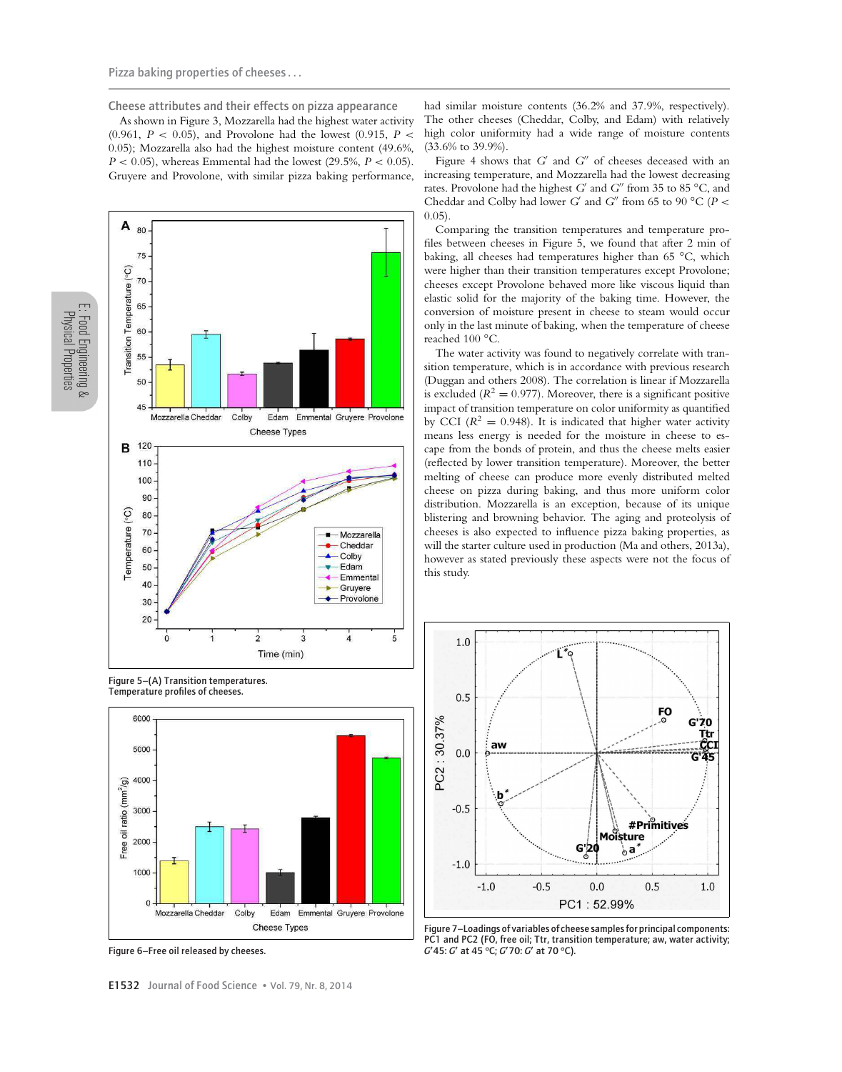Cheese attributes and their effects on pizza appearance

As shown in Figure 3, Mozzarella had the highest water activity (0.961,  $P < 0.05$ ), and Provolone had the lowest (0.915,  $P <$ 0.05); Mozzarella also had the highest moisture content (49.6%,  $P < 0.05$ ), whereas Emmental had the lowest (29.5%,  $P < 0.05$ ). Gruyere and Provolone, with similar pizza baking performance,



Figure 5–(A) Transition temperatures. Temperature profiles of cheeses.



Figure 6–Free oil released by cheeses.

had similar moisture contents (36.2% and 37.9%, respectively). The other cheeses (Cheddar, Colby, and Edam) with relatively high color uniformity had a wide range of moisture contents (33.6% to 39.9%).

Figure 4 shows that *G'* and *G"* of cheeses deceased with an increasing temperature, and Mozzarella had the lowest decreasing rates. Provolone had the highest *G'* and *G*<sup>"</sup> from 35 to 85 °C, and Cheddar and Colby had lower *G'* and *G*<sup> $\prime\prime$ </sup> from 65 to 90 °C (*P* < 0.05).

Comparing the transition temperatures and temperature profiles between cheeses in Figure 5, we found that after 2 min of baking, all cheeses had temperatures higher than 65 °C, which were higher than their transition temperatures except Provolone; cheeses except Provolone behaved more like viscous liquid than elastic solid for the majority of the baking time. However, the conversion of moisture present in cheese to steam would occur only in the last minute of baking, when the temperature of cheese reached 100 °C.

The water activity was found to negatively correlate with transition temperature, which is in accordance with previous research (Duggan and others 2008). The correlation is linear if Mozzarella is excluded  $(R^2 = 0.977)$ . Moreover, there is a significant positive impact of transition temperature on color uniformity as quantified by CCI ( $R^2 = 0.948$ ). It is indicated that higher water activity means less energy is needed for the moisture in cheese to escape from the bonds of protein, and thus the cheese melts easier (reflected by lower transition temperature). Moreover, the better melting of cheese can produce more evenly distributed melted cheese on pizza during baking, and thus more uniform color distribution. Mozzarella is an exception, because of its unique blistering and browning behavior. The aging and proteolysis of cheeses is also expected to influence pizza baking properties, as will the starter culture used in production (Ma and others, 2013a), however as stated previously these aspects were not the focus of this study.



Figure 7–Loadings of variables of cheese samples for principal components: PC1 and PC2 (FO, free oil; Ttr, transition temperature; aw, water activity; *G* ′45: *G* ′ at 45 **°**C; *G* ′70: *G* ′ at 70 **°**C).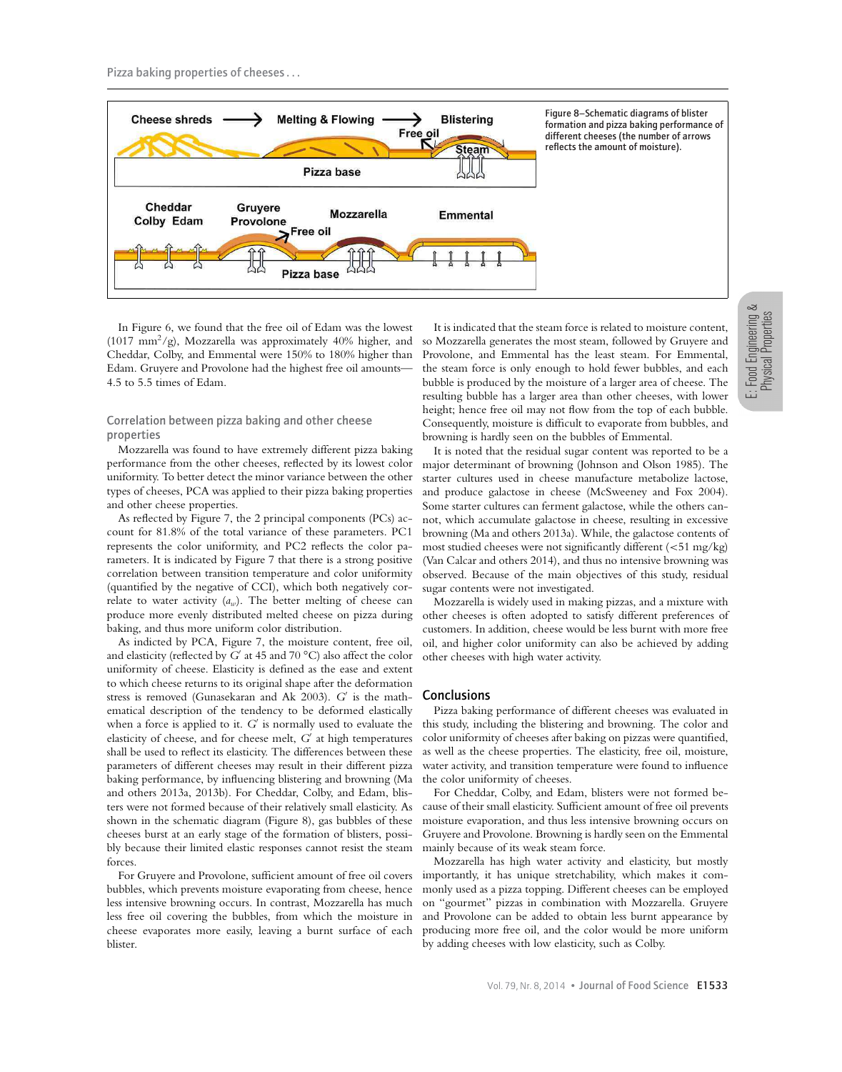Pizza baking properties of cheeses . . .



In Figure 6, we found that the free oil of Edam was the lowest (1017  $\text{mm}^2/\text{g}$ ), Mozzarella was approximately 40% higher, and Cheddar, Colby, and Emmental were 150% to 180% higher than Edam. Gruyere and Provolone had the highest free oil amounts— 4.5 to 5.5 times of Edam.

# Correlation between pizza baking and other cheese properties

Mozzarella was found to have extremely different pizza baking performance from the other cheeses, reflected by its lowest color uniformity. To better detect the minor variance between the other types of cheeses, PCA was applied to their pizza baking properties and other cheese properties.

As reflected by Figure 7, the 2 principal components (PCs) account for 81.8% of the total variance of these parameters. PC1 represents the color uniformity, and PC2 reflects the color parameters. It is indicated by Figure 7 that there is a strong positive correlation between transition temperature and color uniformity (quantified by the negative of CCI), which both negatively correlate to water activity  $(a_w)$ . The better melting of cheese can produce more evenly distributed melted cheese on pizza during baking, and thus more uniform color distribution.

As indicted by PCA, Figure 7, the moisture content, free oil, and elasticity (reflected by *G*′ at 45 and 70 °C) also affect the color uniformity of cheese. Elasticity is defined as the ease and extent to which cheese returns to its original shape after the deformation stress is removed (Gunasekaran and Ak 2003). *G*′ is the mathematical description of the tendency to be deformed elastically when a force is applied to it. *G*′ is normally used to evaluate the elasticity of cheese, and for cheese melt, *G*′ at high temperatures shall be used to reflect its elasticity. The differences between these parameters of different cheeses may result in their different pizza baking performance, by influencing blistering and browning (Ma and others 2013a, 2013b). For Cheddar, Colby, and Edam, blisters were not formed because of their relatively small elasticity. As shown in the schematic diagram (Figure 8), gas bubbles of these cheeses burst at an early stage of the formation of blisters, possibly because their limited elastic responses cannot resist the steam forces.

For Gruyere and Provolone, sufficient amount of free oil covers bubbles, which prevents moisture evaporating from cheese, hence less intensive browning occurs. In contrast, Mozzarella has much less free oil covering the bubbles, from which the moisture in cheese evaporates more easily, leaving a burnt surface of each blister.

It is indicated that the steam force is related to moisture content, so Mozzarella generates the most steam, followed by Gruyere and Provolone, and Emmental has the least steam. For Emmental, the steam force is only enough to hold fewer bubbles, and each bubble is produced by the moisture of a larger area of cheese. The resulting bubble has a larger area than other cheeses, with lower height; hence free oil may not flow from the top of each bubble. Consequently, moisture is difficult to evaporate from bubbles, and browning is hardly seen on the bubbles of Emmental.

It is noted that the residual sugar content was reported to be a major determinant of browning (Johnson and Olson 1985). The starter cultures used in cheese manufacture metabolize lactose, and produce galactose in cheese (McSweeney and Fox 2004). Some starter cultures can ferment galactose, while the others cannot, which accumulate galactose in cheese, resulting in excessive browning (Ma and others 2013a). While, the galactose contents of most studied cheeses were not significantly different (<51 mg/kg) (Van Calcar and others 2014), and thus no intensive browning was observed. Because of the main objectives of this study, residual sugar contents were not investigated.

Mozzarella is widely used in making pizzas, and a mixture with other cheeses is often adopted to satisfy different preferences of customers. In addition, cheese would be less burnt with more free oil, and higher color uniformity can also be achieved by adding other cheeses with high water activity.

## Conclusions

Pizza baking performance of different cheeses was evaluated in this study, including the blistering and browning. The color and color uniformity of cheeses after baking on pizzas were quantified, as well as the cheese properties. The elasticity, free oil, moisture, water activity, and transition temperature were found to influence the color uniformity of cheeses.

For Cheddar, Colby, and Edam, blisters were not formed because of their small elasticity. Sufficient amount of free oil prevents moisture evaporation, and thus less intensive browning occurs on Gruyere and Provolone. Browning is hardly seen on the Emmental mainly because of its weak steam force.

Mozzarella has high water activity and elasticity, but mostly importantly, it has unique stretchability, which makes it commonly used as a pizza topping. Different cheeses can be employed on "gourmet" pizzas in combination with Mozzarella. Gruyere and Provolone can be added to obtain less burnt appearance by producing more free oil, and the color would be more uniform by adding cheeses with low elasticity, such as Colby.